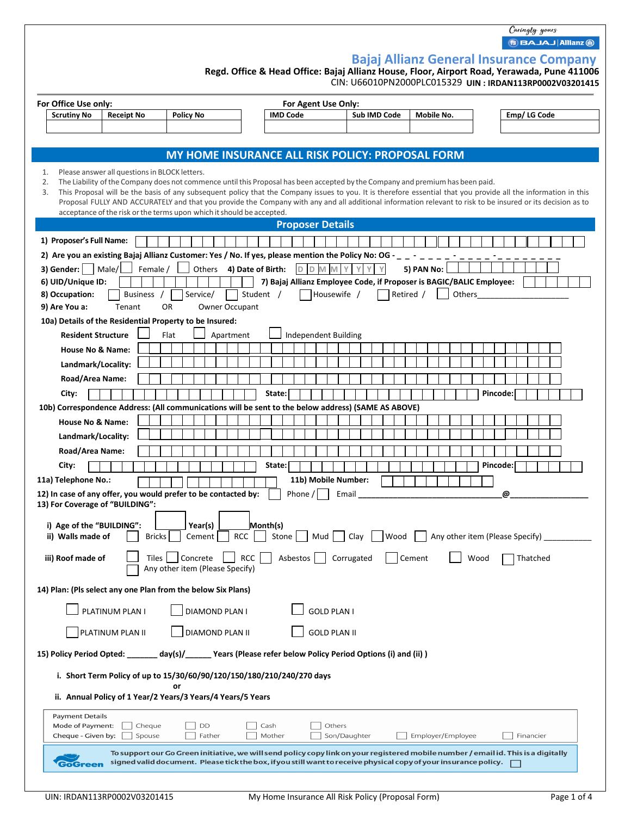Caringly yours **BAJAJ Allianz @** 

|  | <b>Bajaj Allianz General Insurance Company</b> |  |
|--|------------------------------------------------|--|
|  |                                                |  |

**Regd. Office & Head Office: Bajaj Allianz House, Floor, Airport Road, Yerawada, Pune 411006**

**UIN : IRDAN113RP0002V03201415**  CIN: U66010PN2000PLC015329

|          | For Office Use only:            |                                               |                                                                                                                                |                         | For Agent Use Only:  |              |                                                                      |                                                                                                                                                                 |
|----------|---------------------------------|-----------------------------------------------|--------------------------------------------------------------------------------------------------------------------------------|-------------------------|----------------------|--------------|----------------------------------------------------------------------|-----------------------------------------------------------------------------------------------------------------------------------------------------------------|
|          | <b>Scrutiny No</b>              | <b>Receipt No</b>                             | <b>Policy No</b>                                                                                                               | <b>IMD Code</b>         |                      | Sub IMD Code | Mobile No.                                                           | Emp/LG Code                                                                                                                                                     |
|          |                                 |                                               |                                                                                                                                |                         |                      |              |                                                                      |                                                                                                                                                                 |
|          |                                 |                                               | MY HOME INSURANCE ALL RISK POLICY: PROPOSAL FORM                                                                               |                         |                      |              |                                                                      |                                                                                                                                                                 |
|          |                                 |                                               |                                                                                                                                |                         |                      |              |                                                                      |                                                                                                                                                                 |
| 1.<br>2. |                                 | Please answer all questions in BLOCK letters. | The Liability of the Company does not commence until this Proposal has been accepted by the Company and premium has been paid. |                         |                      |              |                                                                      |                                                                                                                                                                 |
| 3.       |                                 |                                               |                                                                                                                                |                         |                      |              |                                                                      | This Proposal will be the basis of any subsequent policy that the Company issues to you. It is therefore essential that you provide all the information in this |
|          |                                 |                                               | acceptance of the risk or the terms upon which it should be accepted.                                                          |                         |                      |              |                                                                      | Proposal FULLY AND ACCURATELY and that you provide the Company with any and all additional information relevant to risk to be insured or its decision as to     |
|          |                                 |                                               |                                                                                                                                | <b>Proposer Details</b> |                      |              |                                                                      |                                                                                                                                                                 |
|          | 1) Proposer's Full Name:        |                                               |                                                                                                                                |                         |                      |              |                                                                      |                                                                                                                                                                 |
|          |                                 |                                               | 2) Are you an existing Bajaj Allianz Customer: Yes / No. If yes, please mention the Policy No: OG - _ _ - _ _ _ _              |                         |                      |              |                                                                      |                                                                                                                                                                 |
|          | 3) Gender: $ $                  | Male/<br>Female /                             | Others 4) Date of Birth:                                                                                                       |                         | D D M M<br>Y         | Y            | 5) PAN No:                                                           |                                                                                                                                                                 |
|          | 6) UID/Unique ID:               |                                               |                                                                                                                                |                         |                      |              | 7) Bajaj Allianz Employee Code, if Proposer is BAGIC/BALIC Employee: |                                                                                                                                                                 |
|          | 8) Occupation:<br>9) Are You a: | Business /<br>Tenant                          | Service/<br>Owner Occupant<br><b>OR</b>                                                                                        | Student /               | Housewife /          | Retired /    | Others                                                               |                                                                                                                                                                 |
|          |                                 |                                               | 10a) Details of the Residential Property to be Insured:                                                                        |                         |                      |              |                                                                      |                                                                                                                                                                 |
|          | <b>Resident Structure</b>       |                                               | Flat<br>Apartment                                                                                                              |                         | Independent Building |              |                                                                      |                                                                                                                                                                 |
|          | <b>House No &amp; Name:</b>     |                                               |                                                                                                                                |                         |                      |              |                                                                      |                                                                                                                                                                 |
|          | Landmark/Locality:              |                                               |                                                                                                                                |                         |                      |              |                                                                      |                                                                                                                                                                 |
|          | Road/Area Name:                 |                                               |                                                                                                                                |                         |                      |              |                                                                      |                                                                                                                                                                 |
|          | City:                           |                                               |                                                                                                                                | State:                  |                      |              |                                                                      | Pincode:                                                                                                                                                        |
|          |                                 |                                               | 10b) Correspondence Address: (All communications will be sent to the below address) (SAME AS ABOVE)                            |                         |                      |              |                                                                      |                                                                                                                                                                 |
|          | <b>House No &amp; Name:</b>     |                                               |                                                                                                                                |                         |                      |              |                                                                      |                                                                                                                                                                 |
|          | Landmark/Locality:              |                                               |                                                                                                                                |                         |                      |              |                                                                      |                                                                                                                                                                 |
|          | Road/Area Name:                 |                                               |                                                                                                                                |                         |                      |              |                                                                      |                                                                                                                                                                 |
|          | City:                           |                                               |                                                                                                                                | State:                  |                      |              |                                                                      | Pincode:                                                                                                                                                        |
|          | 11a) Telephone No.:             |                                               |                                                                                                                                |                         | 11b) Mobile Number:  |              |                                                                      |                                                                                                                                                                 |
|          |                                 |                                               | 12) In case of any offer, you would prefer to be contacted by:                                                                 | Phone /                 | Email                |              |                                                                      | @                                                                                                                                                               |
|          |                                 | 13) For Coverage of "BUILDING":               |                                                                                                                                |                         |                      |              |                                                                      |                                                                                                                                                                 |
|          | i) Age of the "BUILDING":       |                                               | Year(s)                                                                                                                        | Month(s)                |                      |              |                                                                      |                                                                                                                                                                 |
|          | ii) Walls made of               | <b>Bricks</b>                                 | Cement<br><b>RCC</b>                                                                                                           | Stone                   | Mud                  | Clav<br>Wood |                                                                      | Any other item (Please Specify)                                                                                                                                 |
|          | iii) Roof made of               | Tiles                                         | <b>RCC</b><br>Concrete                                                                                                         | Asbestos                | Corrugated           |              | Cement                                                               | Thatched<br>Wood                                                                                                                                                |
|          |                                 |                                               | Any other item (Please Specify)                                                                                                |                         |                      |              |                                                                      |                                                                                                                                                                 |
|          |                                 |                                               | 14) Plan: (Pls select any one Plan from the below Six Plans)                                                                   |                         |                      |              |                                                                      |                                                                                                                                                                 |
|          |                                 |                                               |                                                                                                                                |                         |                      |              |                                                                      |                                                                                                                                                                 |
|          |                                 | PLATINUM PLAN I                               | DIAMOND PLAN I                                                                                                                 |                         | <b>GOLD PLAN I</b>   |              |                                                                      |                                                                                                                                                                 |
|          |                                 | PLATINUM PLAN II                              | DIAMOND PLAN II                                                                                                                |                         | <b>GOLD PLAN II</b>  |              |                                                                      |                                                                                                                                                                 |
|          | 15) Policy Period Opted:        |                                               | day(s)/______ Years (Please refer below Policy Period Options (i) and (ii))                                                    |                         |                      |              |                                                                      |                                                                                                                                                                 |
|          |                                 |                                               |                                                                                                                                |                         |                      |              |                                                                      |                                                                                                                                                                 |
|          |                                 |                                               | i. Short Term Policy of up to 15/30/60/90/120/150/180/210/240/270 days                                                         |                         |                      |              |                                                                      |                                                                                                                                                                 |
|          |                                 |                                               | ii. Annual Policy of 1 Year/2 Years/3 Years/4 Years/5 Years                                                                    |                         |                      |              |                                                                      |                                                                                                                                                                 |
|          | <b>Payment Details</b>          |                                               |                                                                                                                                |                         |                      |              |                                                                      |                                                                                                                                                                 |
|          | Mode of Payment:                | Cheque                                        | DD                                                                                                                             | Cash                    | Others               |              |                                                                      |                                                                                                                                                                 |
|          | Cheque - Given by:              | Spouse                                        | Father                                                                                                                         | Mother                  | Son/Daughter         |              | Employer/Employee                                                    | Financier                                                                                                                                                       |
|          |                                 |                                               | signed valid document. Please tick the box, if you still want to receive physical copy of your insurance policy.               |                         |                      |              |                                                                      | To support our Go Green initiative, we will send policy copy link on your registered mobile number / email id. This is a digitally                              |
|          | <b>GoGreen</b>                  |                                               |                                                                                                                                |                         |                      |              |                                                                      |                                                                                                                                                                 |
|          |                                 |                                               |                                                                                                                                |                         |                      |              |                                                                      |                                                                                                                                                                 |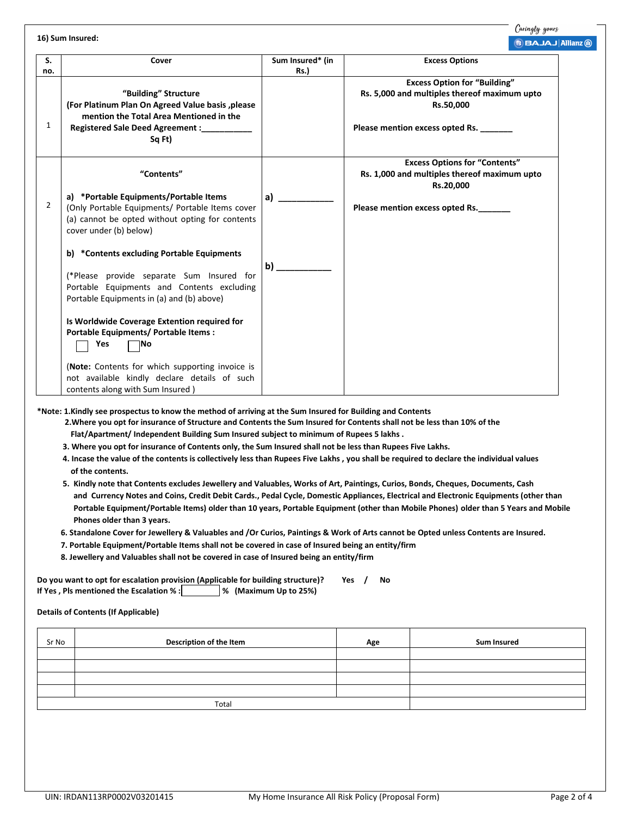**16) Sum Insured:** 

|              |                                                                                                                                                                                                                                                                                                                                                                                                                                        |                          | $\left  \mathbf{B} \right $ is AJAJ $\left  \mathbf{A} \right $                                                                           |
|--------------|----------------------------------------------------------------------------------------------------------------------------------------------------------------------------------------------------------------------------------------------------------------------------------------------------------------------------------------------------------------------------------------------------------------------------------------|--------------------------|-------------------------------------------------------------------------------------------------------------------------------------------|
| S.<br>no.    | Cover                                                                                                                                                                                                                                                                                                                                                                                                                                  | Sum Insured* (in<br>Rs.) | <b>Excess Options</b>                                                                                                                     |
| $\mathbf{1}$ | "Building" Structure<br>(For Platinum Plan On Agreed Value basis, please<br>mention the Total Area Mentioned in the<br>Registered Sale Deed Agreement :__________<br>Sq Ft)                                                                                                                                                                                                                                                            |                          | <b>Excess Option for "Building"</b><br>Rs. 5,000 and multiples thereof maximum upto<br>Rs.50,000<br>Please mention excess opted Rs. _____ |
| 2            | "Contents"<br>a) *Portable Equipments/Portable Items<br>(Only Portable Equipments/ Portable Items cover<br>(a) cannot be opted without opting for contents<br>cover under (b) below)                                                                                                                                                                                                                                                   | a)                       | <b>Excess Options for "Contents"</b><br>Rs. 1,000 and multiples thereof maximum upto<br>Rs.20,000<br>Please mention excess opted Rs.      |
|              | b) *Contents excluding Portable Equipments<br>(*Please provide separate Sum Insured for<br>Portable Equipments and Contents excluding<br>Portable Equipments in (a) and (b) above)<br>Is Worldwide Coverage Extention required for<br>Portable Equipments/ Portable Items:<br><b>Yes</b><br>INo<br>(Note: Contents for which supporting invoice is<br>not available kindly declare details of such<br>contents along with Sum Insured) | b)                       |                                                                                                                                           |

**\*Note: 1.Kindly see prospectus to know the method of arriving at the Sum Insured for Building and Contents** 

**2.Where you opt for insurance of Structure and Contents the Sum Insured for Contents shall not be less than 10% of the** 

**Flat/Apartment/ Independent Building Sum Insured subject to minimum of Rupees 5 lakhs .** 

- **3. Where you opt for insurance of Contents only, the Sum Insured shall not be less than Rupees Five Lakhs.**
- **4. Incase the value of the contents is collectively less than Rupees Five Lakhs , you shall be required to declare the individual values of the contents.**
- **5. Kindly note that Contents excludes Jewellery and Valuables, Works of Art, Paintings, Curios, Bonds, Cheques, Documents, Cash and Currency Notes and Coins, Credit Debit Cards., Pedal Cycle, Domestic Appliances, Electrical and Electronic Equipments (other than Portable Equipment/Portable Items) older than 10 years, Portable Equipment (other than Mobile Phones) older than 5 Years and Mobile Phones older than 3 years.**
- **6. Standalone Cover for Jewellery & Valuables and /Or Curios, Paintings & Work of Arts cannot be Opted unless Contents are Insured.**
- **7. Portable Equipment/Portable Items shall not be covered in case of Insured being an entity/firm**
- **8. Jewellery and Valuables shall not be covered in case of Insured being an entity/firm**

**Do you want to opt for escalation provision (Applicable for building structure)? Yes / No**  If Yes, Pls mentioned the Escalation % : **1998** (Maximum Up to 25%)

**Details of Contents (If Applicable)** 

| Sr No | Description of the Item | Age | <b>Sum Insured</b> |
|-------|-------------------------|-----|--------------------|
|       |                         |     |                    |
|       |                         |     |                    |
|       |                         |     |                    |
|       |                         |     |                    |
| Total |                         |     |                    |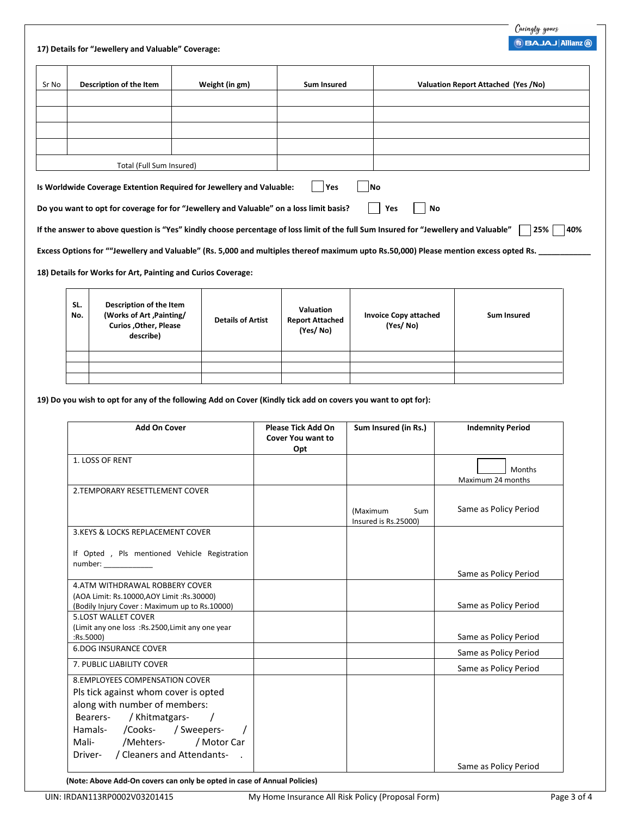|  |  |  |  |  | 17) Details for "Jewellery and Valuable" Coverage: |
|--|--|--|--|--|----------------------------------------------------|
|--|--|--|--|--|----------------------------------------------------|

 $\mathsf{I}$ 

| Sr No                                                                                                                                              | Description of the Item                                      | Weight (in gm)                                                                          | Sum Insured | Valuation Report Attached (Yes /No) |
|----------------------------------------------------------------------------------------------------------------------------------------------------|--------------------------------------------------------------|-----------------------------------------------------------------------------------------|-------------|-------------------------------------|
|                                                                                                                                                    |                                                              |                                                                                         |             |                                     |
|                                                                                                                                                    |                                                              |                                                                                         |             |                                     |
|                                                                                                                                                    |                                                              |                                                                                         |             |                                     |
|                                                                                                                                                    |                                                              |                                                                                         |             |                                     |
|                                                                                                                                                    | Total (Full Sum Insured)                                     |                                                                                         |             |                                     |
|                                                                                                                                                    |                                                              | Is Worldwide Coverage Extention Required for Jewellery and Valuable:                    | <b>Yes</b>  | lNo                                 |
|                                                                                                                                                    |                                                              | Do you want to opt for coverage for for "Jewellery and Valuable" on a loss limit basis? |             | No<br>Yes                           |
| If the answer to above question is "Yes" kindly choose percentage of loss limit of the full Sum Insured for "Jewellery and Valuable"<br>25%<br>40% |                                                              |                                                                                         |             |                                     |
| Excess Options for ""Jewellery and Valuable" (Rs. 5,000 and multiples thereof maximum upto Rs.50,000) Please mention excess opted Rs.              |                                                              |                                                                                         |             |                                     |
|                                                                                                                                                    | 18) Details for Works for Art, Painting and Curios Coverage: |                                                                                         |             |                                     |
|                                                                                                                                                    |                                                              |                                                                                         |             |                                     |

| SL.<br>No. | Description of the Item<br>(Works of Art, Painting/<br><b>Curios , Other, Please</b><br>describe) | <b>Details of Artist</b> | <b>Valuation</b><br><b>Report Attached</b><br>(Yes/No) | <b>Invoice Copy attached</b><br>(Yes/No) | <b>Sum Insured</b> |
|------------|---------------------------------------------------------------------------------------------------|--------------------------|--------------------------------------------------------|------------------------------------------|--------------------|
|            |                                                                                                   |                          |                                                        |                                          |                    |
|            |                                                                                                   |                          |                                                        |                                          |                    |
|            |                                                                                                   |                          |                                                        |                                          |                    |

**19) Do you wish to opt for any of the following Add on Cover (Kindly tick add on covers you want to opt for):**

| <b>Add On Cover</b>                                                                                                                                                                                                                                            | <b>Please Tick Add On</b><br><b>Cover You want to</b><br>Opt | Sum Insured (in Rs.)                    | <b>Indemnity Period</b>            |
|----------------------------------------------------------------------------------------------------------------------------------------------------------------------------------------------------------------------------------------------------------------|--------------------------------------------------------------|-----------------------------------------|------------------------------------|
| 1. LOSS OF RENT                                                                                                                                                                                                                                                |                                                              |                                         | <b>Months</b><br>Maximum 24 months |
| 2. TEMPORARY RESETTLEMENT COVER                                                                                                                                                                                                                                |                                                              |                                         |                                    |
|                                                                                                                                                                                                                                                                |                                                              | (Maximum<br>Sum<br>Insured is Rs.25000) | Same as Policy Period              |
| 3. KEYS & LOCKS REPLACEMENT COVER                                                                                                                                                                                                                              |                                                              |                                         |                                    |
| If Opted, Pls mentioned Vehicle Registration                                                                                                                                                                                                                   |                                                              |                                         | Same as Policy Period              |
| 4. ATM WITHDRAWAL ROBBERY COVER                                                                                                                                                                                                                                |                                                              |                                         |                                    |
| (AOA Limit: Rs.10000,AOY Limit: Rs.30000)<br>(Bodily Injury Cover: Maximum up to Rs.10000)                                                                                                                                                                     |                                                              |                                         | Same as Policy Period              |
| <b>5.LOST WALLET COVER</b>                                                                                                                                                                                                                                     |                                                              |                                         |                                    |
| (Limit any one loss :Rs.2500, Limit any one year<br>:Rs.5000                                                                                                                                                                                                   |                                                              |                                         | Same as Policy Period              |
| <b>6.DOG INSURANCE COVER</b>                                                                                                                                                                                                                                   |                                                              |                                         | Same as Policy Period              |
| 7. PUBLIC LIABILITY COVER                                                                                                                                                                                                                                      |                                                              |                                         | Same as Policy Period              |
| <b>8.EMPLOYEES COMPENSATION COVER</b><br>Pls tick against whom cover is opted<br>along with number of members:<br>Bearers- / Khitmatgars-<br>$\sqrt{1}$<br>Hamals- /Cooks- / Sweepers-<br>/Mehters- / Motor Car<br>Mali-<br>Driver- / Cleaners and Attendants- |                                                              |                                         |                                    |
|                                                                                                                                                                                                                                                                |                                                              |                                         | Same as Policy Period              |

**(Note: Above Add-On covers can only be opted in case of Annual Policies)**